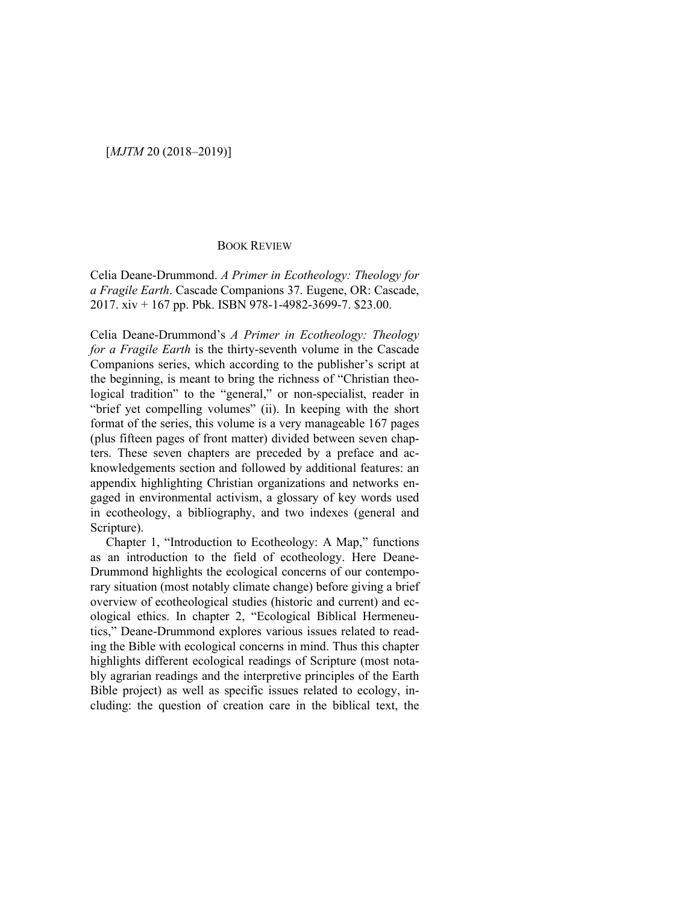## BOOK REVIEW

Celia Deane-Drummond. *A Primer in Ecotheology: Theology for a Fragile Earth*. Cascade Companions 37. Eugene, OR: Cascade, 2017. xiv + 167 pp. Pbk. ISBN 978-1-4982-3699-7. \$23.00.

Celia Deane-Drummond's *A Primer in Ecotheology: Theology for a Fragile Earth* is the thirty-seventh volume in the Cascade Companions series, which according to the publisher's script at the beginning, is meant to bring the richness of "Christian theological tradition" to the "general," or non-specialist, reader in "brief yet compelling volumes" (ii). In keeping with the short format of the series, this volume is a very manageable 167 pages (plus fifteen pages of front matter) divided between seven chapters. These seven chapters are preceded by a preface and acknowledgements section and followed by additional features: an appendix highlighting Christian organizations and networks engaged in environmental activism, a glossary of key words used in ecotheology, a bibliography, and two indexes (general and Scripture).

Chapter 1, "Introduction to Ecotheology: A Map," functions as an introduction to the field of ecotheology. Here Deane-Drummond highlights the ecological concerns of our contemporary situation (most notably climate change) before giving a brief overview of ecotheological studies (historic and current) and ecological ethics. In chapter 2, "Ecological Biblical Hermeneutics," Deane-Drummond explores various issues related to reading the Bible with ecological concerns in mind. Thus this chapter highlights different ecological readings of Scripture (most notably agrarian readings and the interpretive principles of the Earth Bible project) as well as specific issues related to ecology, including: the question of creation care in the biblical text, the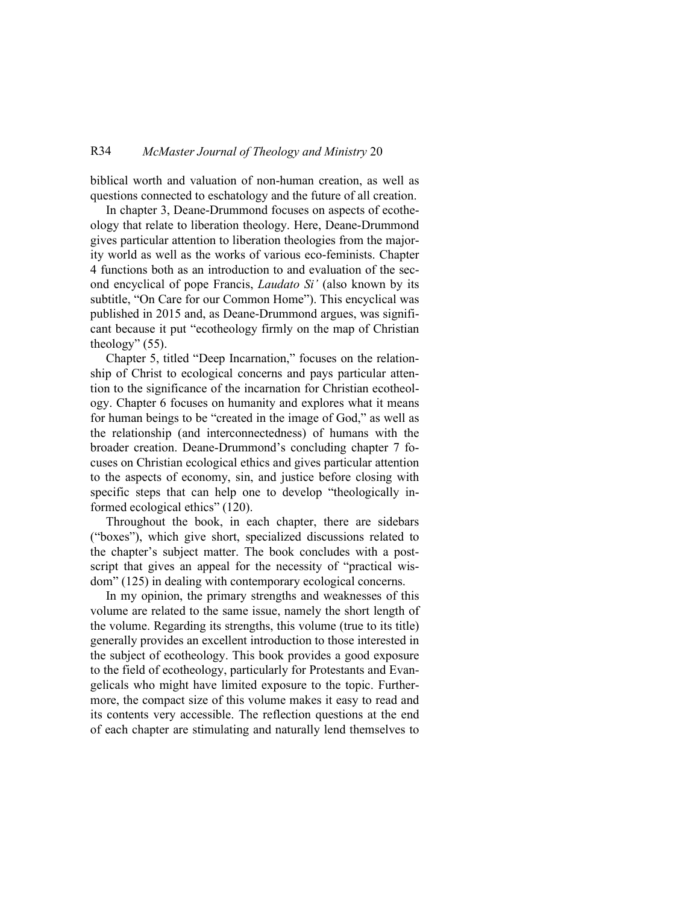## R34 *McMaster Journal of Theology and Ministry* 20

biblical worth and valuation of non-human creation, as well as questions connected to eschatology and the future of all creation.

In chapter 3, Deane-Drummond focuses on aspects of ecotheology that relate to liberation theology. Here, Deane-Drummond gives particular attention to liberation theologies from the majority world as well as the works of various eco-feminists. Chapter 4 functions both as an introduction to and evaluation of the second encyclical of pope Francis, *Laudato Si'* (also known by its subtitle, "On Care for our Common Home"). This encyclical was published in 2015 and, as Deane-Drummond argues, was significant because it put "ecotheology firmly on the map of Christian theology" (55).

Chapter 5, titled "Deep Incarnation," focuses on the relationship of Christ to ecological concerns and pays particular attention to the significance of the incarnation for Christian ecotheology. Chapter 6 focuses on humanity and explores what it means for human beings to be "created in the image of God," as well as the relationship (and interconnectedness) of humans with the broader creation. Deane-Drummond's concluding chapter 7 focuses on Christian ecological ethics and gives particular attention to the aspects of economy, sin, and justice before closing with specific steps that can help one to develop "theologically informed ecological ethics" (120).

Throughout the book, in each chapter, there are sidebars ("boxes"), which give short, specialized discussions related to the chapter's subject matter. The book concludes with a postscript that gives an appeal for the necessity of "practical wisdom" (125) in dealing with contemporary ecological concerns.

In my opinion, the primary strengths and weaknesses of this volume are related to the same issue, namely the short length of the volume. Regarding its strengths, this volume (true to its title) generally provides an excellent introduction to those interested in the subject of ecotheology. This book provides a good exposure to the field of ecotheology, particularly for Protestants and Evangelicals who might have limited exposure to the topic. Furthermore, the compact size of this volume makes it easy to read and its contents very accessible. The reflection questions at the end of each chapter are stimulating and naturally lend themselves to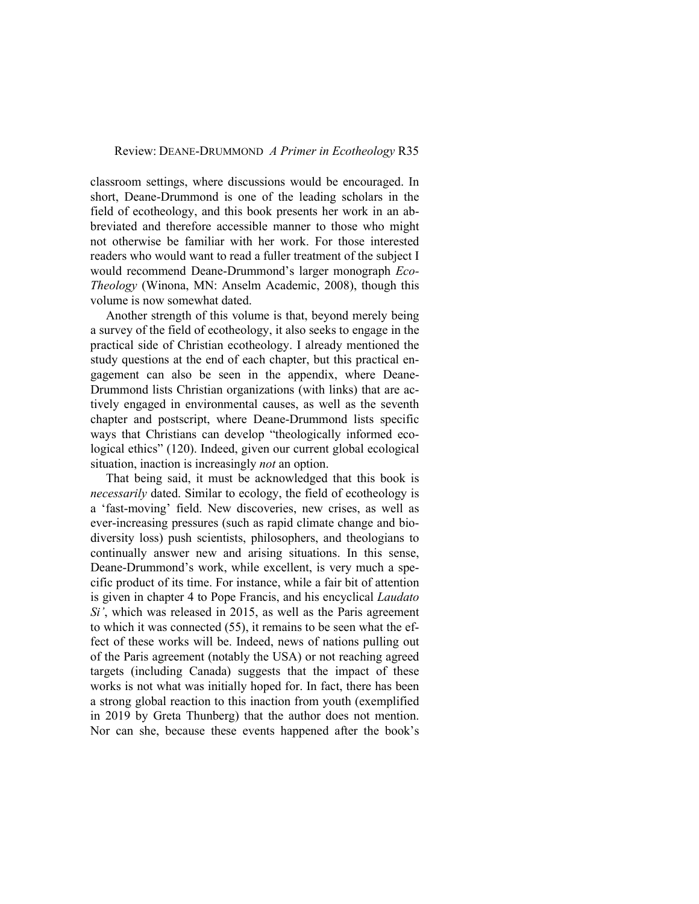## Review: DEANE-DRUMMOND *A Primer in Ecotheology* R35

classroom settings, where discussions would be encouraged. In short, Deane-Drummond is one of the leading scholars in the field of ecotheology, and this book presents her work in an abbreviated and therefore accessible manner to those who might not otherwise be familiar with her work. For those interested readers who would want to read a fuller treatment of the subject I would recommend Deane-Drummond's larger monograph *Eco-Theology* (Winona, MN: Anselm Academic, 2008), though this volume is now somewhat dated.

Another strength of this volume is that, beyond merely being a survey of the field of ecotheology, it also seeks to engage in the practical side of Christian ecotheology. I already mentioned the study questions at the end of each chapter, but this practical engagement can also be seen in the appendix, where Deane-Drummond lists Christian organizations (with links) that are actively engaged in environmental causes, as well as the seventh chapter and postscript, where Deane-Drummond lists specific ways that Christians can develop "theologically informed ecological ethics" (120). Indeed, given our current global ecological situation, inaction is increasingly *not* an option.

That being said, it must be acknowledged that this book is *necessarily* dated. Similar to ecology, the field of ecotheology is a 'fast-moving' field. New discoveries, new crises, as well as ever-increasing pressures (such as rapid climate change and biodiversity loss) push scientists, philosophers, and theologians to continually answer new and arising situations. In this sense, Deane-Drummond's work, while excellent, is very much a specific product of its time. For instance, while a fair bit of attention is given in chapter 4 to Pope Francis, and his encyclical *Laudato Si'*, which was released in 2015, as well as the Paris agreement to which it was connected (55), it remains to be seen what the effect of these works will be. Indeed, news of nations pulling out of the Paris agreement (notably the USA) or not reaching agreed targets (including Canada) suggests that the impact of these works is not what was initially hoped for. In fact, there has been a strong global reaction to this inaction from youth (exemplified in 2019 by Greta Thunberg) that the author does not mention. Nor can she, because these events happened after the book's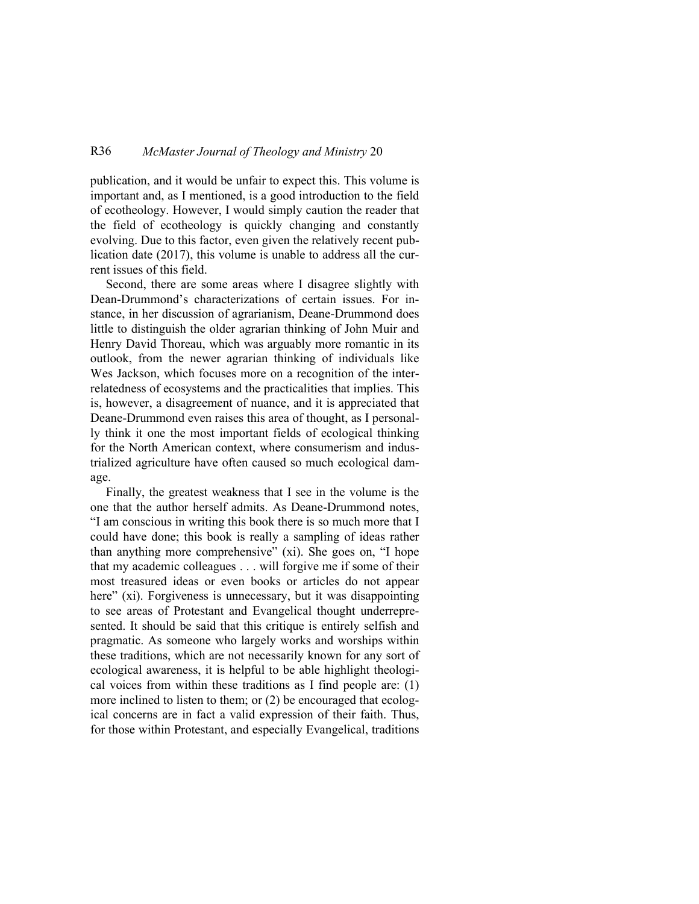## R36 *McMaster Journal of Theology and Ministry* 20

publication, and it would be unfair to expect this. This volume is important and, as I mentioned, is a good introduction to the field of ecotheology. However, I would simply caution the reader that the field of ecotheology is quickly changing and constantly evolving. Due to this factor, even given the relatively recent publication date (2017), this volume is unable to address all the current issues of this field.

Second, there are some areas where I disagree slightly with Dean-Drummond's characterizations of certain issues. For instance, in her discussion of agrarianism, Deane-Drummond does little to distinguish the older agrarian thinking of John Muir and Henry David Thoreau, which was arguably more romantic in its outlook, from the newer agrarian thinking of individuals like Wes Jackson, which focuses more on a recognition of the interrelatedness of ecosystems and the practicalities that implies. This is, however, a disagreement of nuance, and it is appreciated that Deane-Drummond even raises this area of thought, as I personally think it one the most important fields of ecological thinking for the North American context, where consumerism and industrialized agriculture have often caused so much ecological damage.

Finally, the greatest weakness that I see in the volume is the one that the author herself admits. As Deane-Drummond notes, "I am conscious in writing this book there is so much more that I could have done; this book is really a sampling of ideas rather than anything more comprehensive" (xi). She goes on, "I hope that my academic colleagues . . . will forgive me if some of their most treasured ideas or even books or articles do not appear here" (xi). Forgiveness is unnecessary, but it was disappointing to see areas of Protestant and Evangelical thought underrepresented. It should be said that this critique is entirely selfish and pragmatic. As someone who largely works and worships within these traditions, which are not necessarily known for any sort of ecological awareness, it is helpful to be able highlight theological voices from within these traditions as I find people are: (1) more inclined to listen to them; or (2) be encouraged that ecological concerns are in fact a valid expression of their faith. Thus, for those within Protestant, and especially Evangelical, traditions